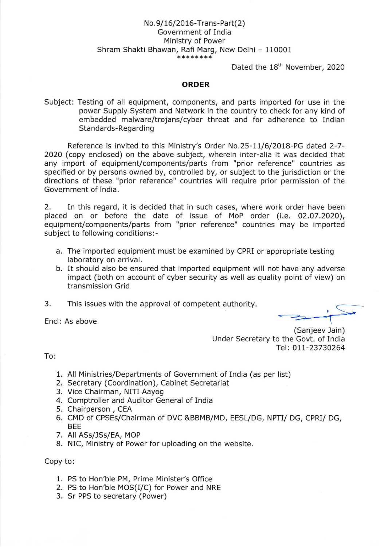# No.9/ 16/20 16-Trans-Part(2) Government of India Ministry of Power Shram Shakti Bhawan, Rafi Marg, New Delhi - 110001

Dated the 18<sup>th</sup> November, 2020

### ORDER

Subject: Testing of all equipment, components, and parts imported for use in the power Supply System and Network in the country to check for any kind of embedded malware/trojans/cyber threat and for adherence to Indian Standards-Regarding

Reference is invited to this Ministry's Order No.25-17/6/2018-PG dated 2-7- 2020 (copy enclosed) on the above subject, wherein inter-alia it was decided that any import of equipment/components/parts from "prior reference" countries as specified or by persons owned by, controlled by, or subject to the jurisdiction or the directions of these "prior reference" countries will require prior permlssion of the Government of lndia.

2. In this regard, it is decided that in such cases, where work order have been placed on or before the date of issue of MoP order (i.e. 02.07.2020), equipment/components/parts from "prior reference" countries may be imported subject to following conditions:-

- a. The imported equipment must be examined by CPRI or appropriate testing laboratory on arrival.
- b. It should also be ensured that imported equipment will not have any adverse impact (both on account of cyber security as well as quality point of view) on transmission Grid
- 3. This issues with the approval of competent authority.

Encl: As above

(Sanjeev Jain) Under Secretary to the Govt. of India Tel: 011-23730264

To:

- 1. All Ministries/Departments of Government of India (as per list)
- 2. Secretary (Coordination), Cabinet Secretariat
- 3. Vice Chairman, NITI Aayog
- 4. Comptroller and Auditor General of India
- 5. Chalrperson, CEA
- 6. CMD of CPSEs/Chairman of DVC &BBMB/MD, EESL/DG, NPTI/ DG, CPRI/ DG, BEE
- 7. All ASs/lSs/EA, MOP
- 8. NIC, Ministry of Power for uploading on the website.

Copy to:

- 1. PS to Hon'ble PM, Prime Minister's Office
- 2. PS to Hon'ble MOS(I/C) for Power and NRE
- 3. Sr PPS to secretary (Power)